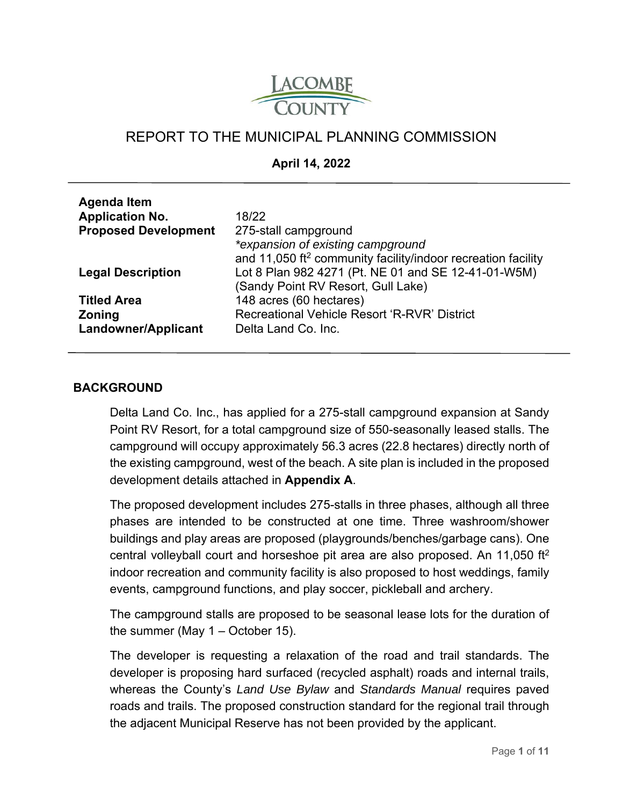

# REPORT TO THE MUNICIPAL PLANNING COMMISSION

**April 14, 2022** 

| <b>Agenda Item</b>          |                                                                          |
|-----------------------------|--------------------------------------------------------------------------|
| <b>Application No.</b>      | 18/22                                                                    |
| <b>Proposed Development</b> | 275-stall campground                                                     |
|                             | *expansion of existing campground                                        |
|                             | and 11,050 ft <sup>2</sup> community facility/indoor recreation facility |
| <b>Legal Description</b>    | Lot 8 Plan 982 4271 (Pt. NE 01 and SE 12-41-01-W5M)                      |
|                             | (Sandy Point RV Resort, Gull Lake)                                       |
| <b>Titled Area</b>          | 148 acres (60 hectares)                                                  |
| <b>Zoning</b>               | Recreational Vehicle Resort 'R-RVR' District                             |
| Landowner/Applicant         | Delta Land Co. Inc.                                                      |
|                             |                                                                          |

#### **BACKGROUND**

Delta Land Co. Inc., has applied for a 275-stall campground expansion at Sandy Point RV Resort, for a total campground size of 550-seasonally leased stalls. The campground will occupy approximately 56.3 acres (22.8 hectares) directly north of the existing campground, west of the beach. A site plan is included in the proposed development details attached in **Appendix A**.

The proposed development includes 275-stalls in three phases, although all three phases are intended to be constructed at one time. Three washroom/shower buildings and play areas are proposed (playgrounds/benches/garbage cans). One central volleyball court and horseshoe pit area are also proposed. An 11,050 ft<sup>2</sup> indoor recreation and community facility is also proposed to host weddings, family events, campground functions, and play soccer, pickleball and archery.

The campground stalls are proposed to be seasonal lease lots for the duration of the summer (May 1 – October 15).

The developer is requesting a relaxation of the road and trail standards. The developer is proposing hard surfaced (recycled asphalt) roads and internal trails, whereas the County's *Land Use Bylaw* and *Standards Manual* requires paved roads and trails. The proposed construction standard for the regional trail through the adjacent Municipal Reserve has not been provided by the applicant.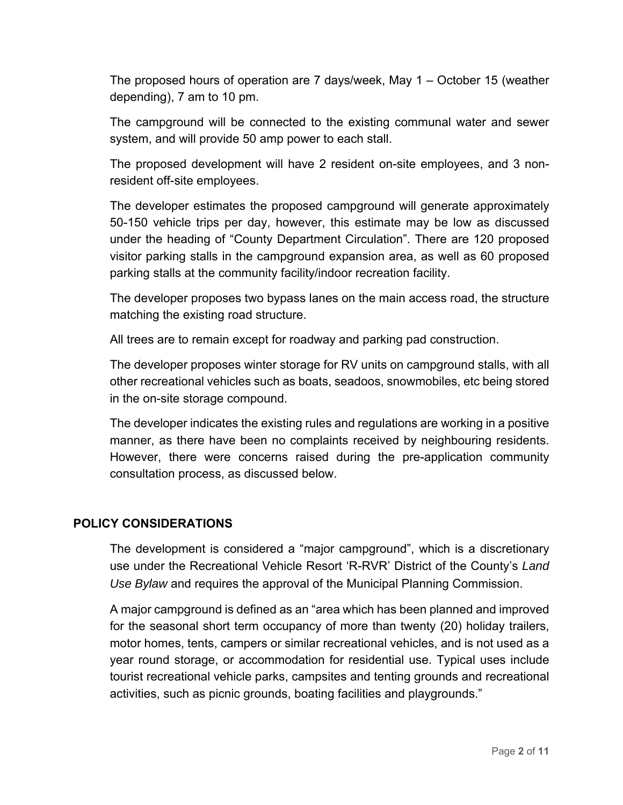The proposed hours of operation are 7 days/week, May 1 – October 15 (weather depending), 7 am to 10 pm.

The campground will be connected to the existing communal water and sewer system, and will provide 50 amp power to each stall.

The proposed development will have 2 resident on-site employees, and 3 nonresident off-site employees.

The developer estimates the proposed campground will generate approximately 50-150 vehicle trips per day, however, this estimate may be low as discussed under the heading of "County Department Circulation". There are 120 proposed visitor parking stalls in the campground expansion area, as well as 60 proposed parking stalls at the community facility/indoor recreation facility.

The developer proposes two bypass lanes on the main access road, the structure matching the existing road structure.

All trees are to remain except for roadway and parking pad construction.

The developer proposes winter storage for RV units on campground stalls, with all other recreational vehicles such as boats, seadoos, snowmobiles, etc being stored in the on-site storage compound.

The developer indicates the existing rules and regulations are working in a positive manner, as there have been no complaints received by neighbouring residents. However, there were concerns raised during the pre-application community consultation process, as discussed below.

## **POLICY CONSIDERATIONS**

The development is considered a "major campground", which is a discretionary use under the Recreational Vehicle Resort 'R-RVR' District of the County's *Land Use Bylaw* and requires the approval of the Municipal Planning Commission.

A major campground is defined as an "area which has been planned and improved for the seasonal short term occupancy of more than twenty (20) holiday trailers, motor homes, tents, campers or similar recreational vehicles, and is not used as a year round storage, or accommodation for residential use. Typical uses include tourist recreational vehicle parks, campsites and tenting grounds and recreational activities, such as picnic grounds, boating facilities and playgrounds."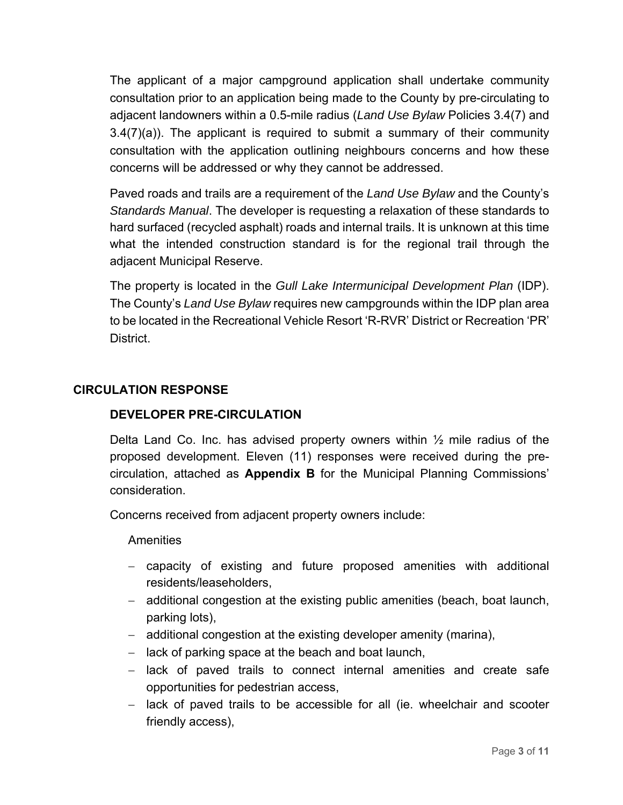The applicant of a major campground application shall undertake community consultation prior to an application being made to the County by pre-circulating to adjacent landowners within a 0.5-mile radius (*Land Use Bylaw* Policies 3.4(7) and 3.4(7)(a)). The applicant is required to submit a summary of their community consultation with the application outlining neighbours concerns and how these concerns will be addressed or why they cannot be addressed.

Paved roads and trails are a requirement of the *Land Use Bylaw* and the County's *Standards Manual*. The developer is requesting a relaxation of these standards to hard surfaced (recycled asphalt) roads and internal trails. It is unknown at this time what the intended construction standard is for the regional trail through the adjacent Municipal Reserve.

The property is located in the *Gull Lake Intermunicipal Development Plan* (IDP). The County's *Land Use Bylaw* requires new campgrounds within the IDP plan area to be located in the Recreational Vehicle Resort 'R-RVR' District or Recreation 'PR' District.

# **CIRCULATION RESPONSE**

# **DEVELOPER PRE-CIRCULATION**

Delta Land Co. Inc. has advised property owners within  $\frac{1}{2}$  mile radius of the proposed development. Eleven (11) responses were received during the precirculation, attached as **Appendix B** for the Municipal Planning Commissions' consideration.

Concerns received from adjacent property owners include:

#### Amenities

- capacity of existing and future proposed amenities with additional residents/leaseholders,
- additional congestion at the existing public amenities (beach, boat launch, parking lots),
- additional congestion at the existing developer amenity (marina),
- lack of parking space at the beach and boat launch,
- lack of paved trails to connect internal amenities and create safe opportunities for pedestrian access,
- lack of paved trails to be accessible for all (ie. wheelchair and scooter friendly access),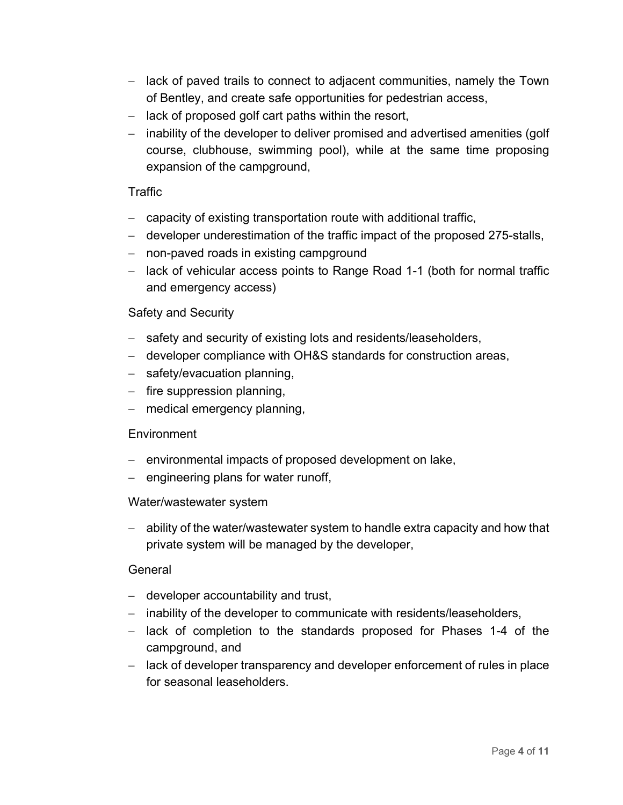- lack of paved trails to connect to adjacent communities, namely the Town of Bentley, and create safe opportunities for pedestrian access,
- $\overline{-}$  lack of proposed golf cart paths within the resort,
- inability of the developer to deliver promised and advertised amenities (golf course, clubhouse, swimming pool), while at the same time proposing expansion of the campground,

#### **Traffic**

- capacity of existing transportation route with additional traffic,
- developer underestimation of the traffic impact of the proposed 275-stalls,
- non-paved roads in existing campground
- lack of vehicular access points to Range Road 1-1 (both for normal traffic and emergency access)

#### Safety and Security

- safety and security of existing lots and residents/leaseholders,
- developer compliance with OH&S standards for construction areas,
- $-$  safety/evacuation planning,
- $-$  fire suppression planning,
- medical emergency planning,

#### **Environment**

- environmental impacts of proposed development on lake,
- $-$  engineering plans for water runoff,

#### Water/wastewater system

 ability of the water/wastewater system to handle extra capacity and how that private system will be managed by the developer,

#### **General**

- developer accountability and trust,
- inability of the developer to communicate with residents/leaseholders,
- lack of completion to the standards proposed for Phases 1-4 of the campground, and
- lack of developer transparency and developer enforcement of rules in place for seasonal leaseholders.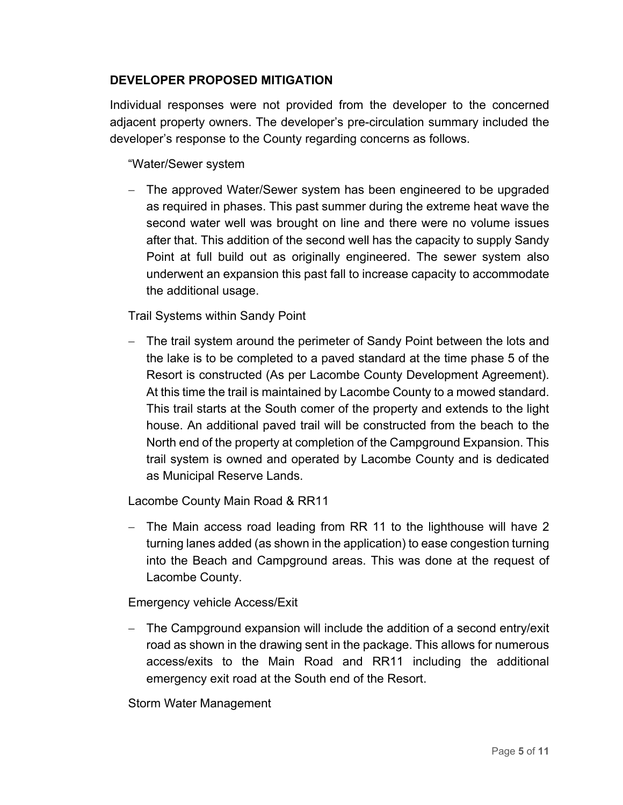## **DEVELOPER PROPOSED MITIGATION**

Individual responses were not provided from the developer to the concerned adjacent property owners. The developer's pre-circulation summary included the developer's response to the County regarding concerns as follows.

"Water/Sewer system

- The approved Water/Sewer system has been engineered to be upgraded as required in phases. This past summer during the extreme heat wave the second water well was brought on line and there were no volume issues after that. This addition of the second well has the capacity to supply Sandy Point at full build out as originally engineered. The sewer system also underwent an expansion this past fall to increase capacity to accommodate the additional usage.

Trail Systems within Sandy Point

 The trail system around the perimeter of Sandy Point between the lots and the lake is to be completed to a paved standard at the time phase 5 of the Resort is constructed (As per Lacombe County Development Agreement). At this time the trail is maintained by Lacombe County to a mowed standard. This trail starts at the South comer of the property and extends to the light house. An additional paved trail will be constructed from the beach to the North end of the property at completion of the Campground Expansion. This trail system is owned and operated by Lacombe County and is dedicated as Municipal Reserve Lands.

Lacombe County Main Road & RR11

 The Main access road leading from RR 11 to the lighthouse will have 2 turning lanes added (as shown in the application) to ease congestion turning into the Beach and Campground areas. This was done at the request of Lacombe County.

Emergency vehicle Access/Exit

 The Campground expansion will include the addition of a second entry/exit road as shown in the drawing sent in the package. This allows for numerous access/exits to the Main Road and RR11 including the additional emergency exit road at the South end of the Resort.

Storm Water Management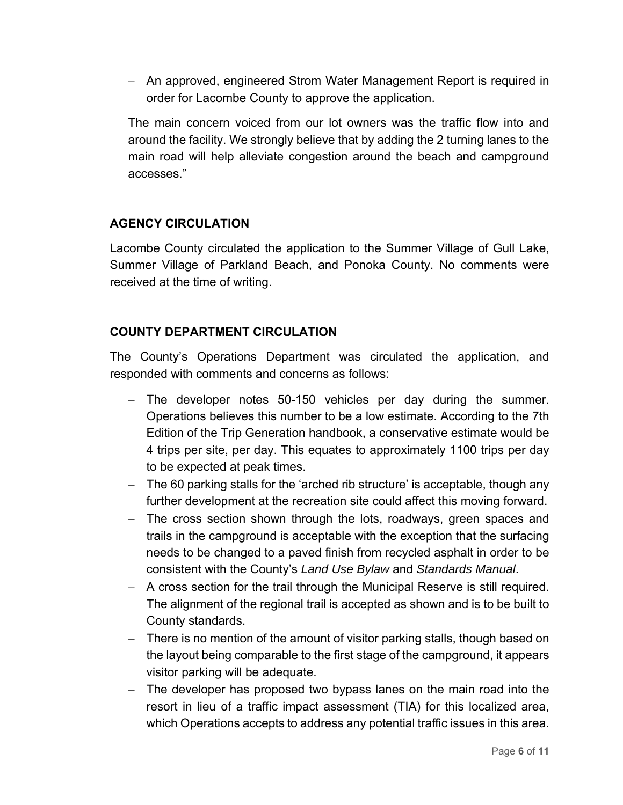- An approved, engineered Strom Water Management Report is required in order for Lacombe County to approve the application.

The main concern voiced from our lot owners was the traffic flow into and around the facility. We strongly believe that by adding the 2 turning lanes to the main road will help alleviate congestion around the beach and campground accesses."

## **AGENCY CIRCULATION**

Lacombe County circulated the application to the Summer Village of Gull Lake, Summer Village of Parkland Beach, and Ponoka County. No comments were received at the time of writing.

## **COUNTY DEPARTMENT CIRCULATION**

The County's Operations Department was circulated the application, and responded with comments and concerns as follows:

- $-$  The developer notes 50-150 vehicles per day during the summer. Operations believes this number to be a low estimate. According to the 7th Edition of the Trip Generation handbook, a conservative estimate would be 4 trips per site, per day. This equates to approximately 1100 trips per day to be expected at peak times.
- The 60 parking stalls for the 'arched rib structure' is acceptable, though any further development at the recreation site could affect this moving forward.
- The cross section shown through the lots, roadways, green spaces and trails in the campground is acceptable with the exception that the surfacing needs to be changed to a paved finish from recycled asphalt in order to be consistent with the County's *Land Use Bylaw* and *Standards Manual*.
- A cross section for the trail through the Municipal Reserve is still required. The alignment of the regional trail is accepted as shown and is to be built to County standards.
- There is no mention of the amount of visitor parking stalls, though based on the layout being comparable to the first stage of the campground, it appears visitor parking will be adequate.
- The developer has proposed two bypass lanes on the main road into the resort in lieu of a traffic impact assessment (TIA) for this localized area, which Operations accepts to address any potential traffic issues in this area.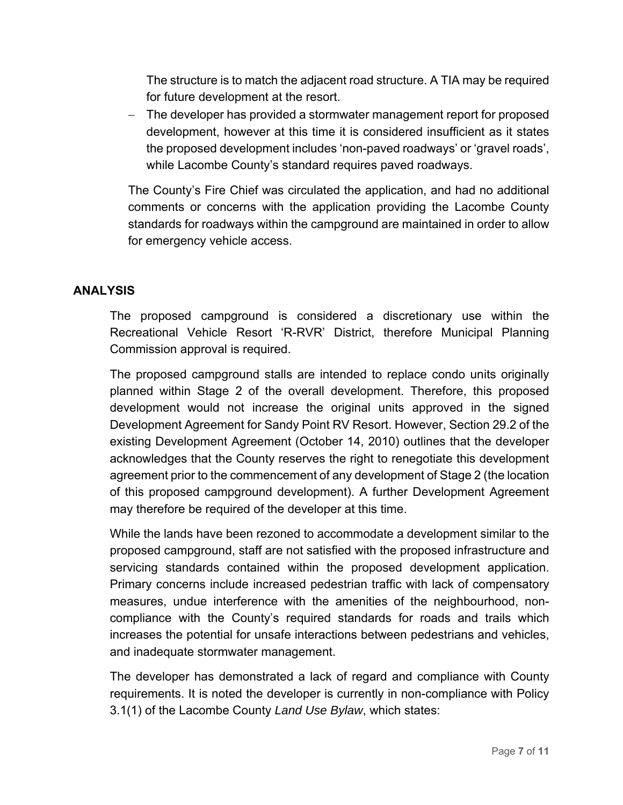The structure is to match the adjacent road structure. A TIA may be required for future development at the resort.

 The developer has provided a stormwater management report for proposed development, however at this time it is considered insufficient as it states the proposed development includes 'non-paved roadways' or 'gravel roads', while Lacombe County's standard requires paved roadways.

The County's Fire Chief was circulated the application, and had no additional comments or concerns with the application providing the Lacombe County standards for roadways within the campground are maintained in order to allow for emergency vehicle access.

## **ANALYSIS**

The proposed campground is considered a discretionary use within the Recreational Vehicle Resort 'R-RVR' District, therefore Municipal Planning Commission approval is required.

The proposed campground stalls are intended to replace condo units originally planned within Stage 2 of the overall development. Therefore, this proposed development would not increase the original units approved in the signed Development Agreement for Sandy Point RV Resort. However, Section 29.2 of the existing Development Agreement (October 14, 2010) outlines that the developer acknowledges that the County reserves the right to renegotiate this development agreement prior to the commencement of any development of Stage 2 (the location of this proposed campground development). A further Development Agreement may therefore be required of the developer at this time.

While the lands have been rezoned to accommodate a development similar to the proposed campground, staff are not satisfied with the proposed infrastructure and servicing standards contained within the proposed development application. Primary concerns include increased pedestrian traffic with lack of compensatory measures, undue interference with the amenities of the neighbourhood, noncompliance with the County's required standards for roads and trails which increases the potential for unsafe interactions between pedestrians and vehicles, and inadequate stormwater management.

The developer has demonstrated a lack of regard and compliance with County requirements. It is noted the developer is currently in non-compliance with Policy 3.1(1) of the Lacombe County *Land Use Bylaw*, which states: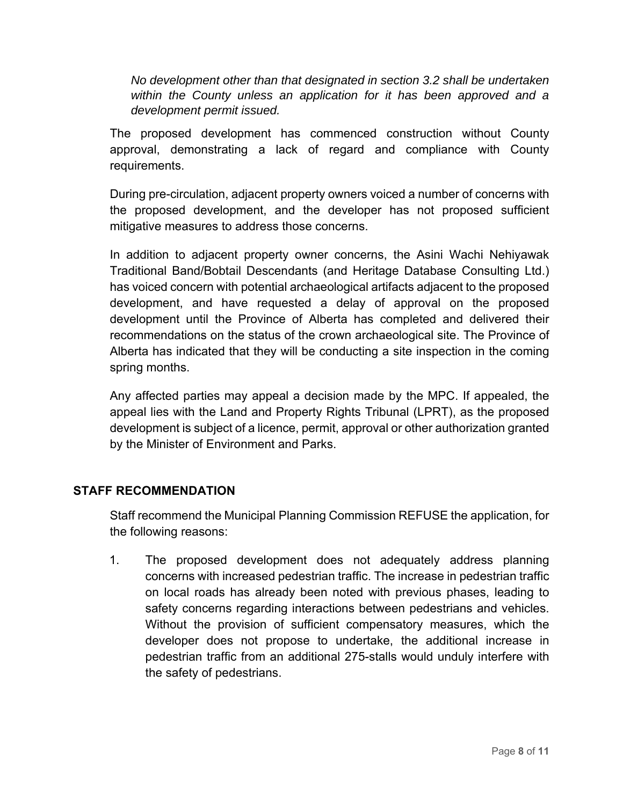*No development other than that designated in section 3.2 shall be undertaken within the County unless an application for it has been approved and a development permit issued.* 

The proposed development has commenced construction without County approval, demonstrating a lack of regard and compliance with County requirements.

During pre-circulation, adjacent property owners voiced a number of concerns with the proposed development, and the developer has not proposed sufficient mitigative measures to address those concerns.

In addition to adjacent property owner concerns, the Asini Wachi Nehiyawak Traditional Band/Bobtail Descendants (and Heritage Database Consulting Ltd.) has voiced concern with potential archaeological artifacts adjacent to the proposed development, and have requested a delay of approval on the proposed development until the Province of Alberta has completed and delivered their recommendations on the status of the crown archaeological site. The Province of Alberta has indicated that they will be conducting a site inspection in the coming spring months.

Any affected parties may appeal a decision made by the MPC. If appealed, the appeal lies with the Land and Property Rights Tribunal (LPRT), as the proposed development is subject of a licence, permit, approval or other authorization granted by the Minister of Environment and Parks.

## **STAFF RECOMMENDATION**

Staff recommend the Municipal Planning Commission REFUSE the application, for the following reasons:

1. The proposed development does not adequately address planning concerns with increased pedestrian traffic. The increase in pedestrian traffic on local roads has already been noted with previous phases, leading to safety concerns regarding interactions between pedestrians and vehicles. Without the provision of sufficient compensatory measures, which the developer does not propose to undertake, the additional increase in pedestrian traffic from an additional 275-stalls would unduly interfere with the safety of pedestrians.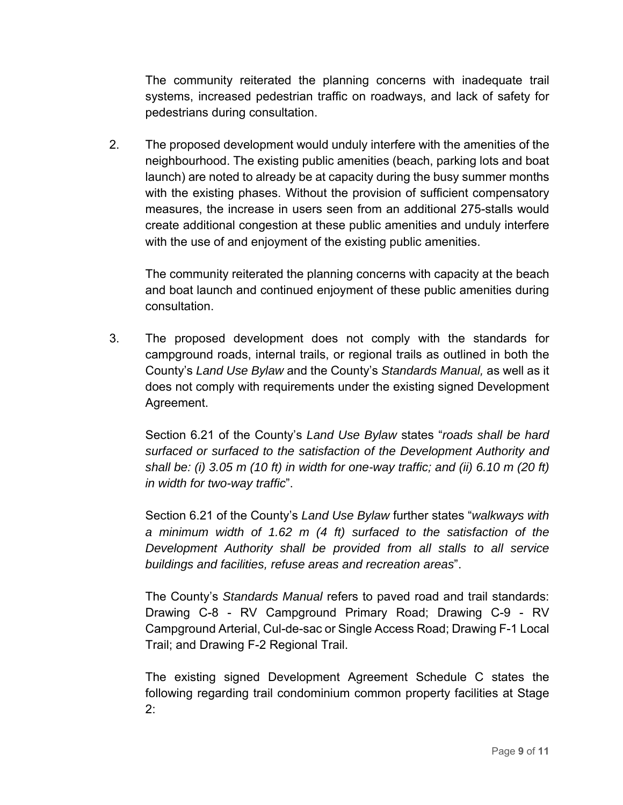The community reiterated the planning concerns with inadequate trail systems, increased pedestrian traffic on roadways, and lack of safety for pedestrians during consultation.

2. The proposed development would unduly interfere with the amenities of the neighbourhood. The existing public amenities (beach, parking lots and boat launch) are noted to already be at capacity during the busy summer months with the existing phases. Without the provision of sufficient compensatory measures, the increase in users seen from an additional 275-stalls would create additional congestion at these public amenities and unduly interfere with the use of and enjoyment of the existing public amenities.

The community reiterated the planning concerns with capacity at the beach and boat launch and continued enjoyment of these public amenities during consultation.

3. The proposed development does not comply with the standards for campground roads, internal trails, or regional trails as outlined in both the County's *Land Use Bylaw* and the County's *Standards Manual,* as well as it does not comply with requirements under the existing signed Development Agreement.

Section 6.21 of the County's *Land Use Bylaw* states "*roads shall be hard surfaced or surfaced to the satisfaction of the Development Authority and shall be: (i) 3.05 m (10 ft) in width for one-way traffic; and (ii) 6.10 m (20 ft) in width for two-way traffic*".

Section 6.21 of the County's *Land Use Bylaw* further states "*walkways with a minimum width of 1.62 m (4 ft) surfaced to the satisfaction of the Development Authority shall be provided from all stalls to all service buildings and facilities, refuse areas and recreation areas*".

The County's *Standards Manual* refers to paved road and trail standards: Drawing C-8 - RV Campground Primary Road; Drawing C-9 - RV Campground Arterial, Cul-de-sac or Single Access Road; Drawing F-1 Local Trail; and Drawing F-2 Regional Trail.

The existing signed Development Agreement Schedule C states the following regarding trail condominium common property facilities at Stage 2: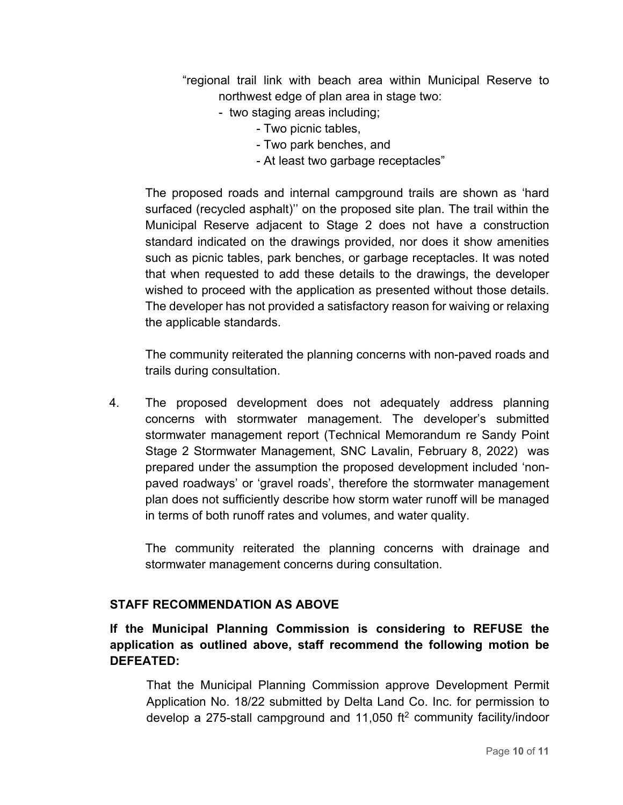- "regional trail link with beach area within Municipal Reserve to northwest edge of plan area in stage two:
	- two staging areas including;
		- Two picnic tables,
		- Two park benches, and
		- At least two garbage receptacles"

The proposed roads and internal campground trails are shown as 'hard surfaced (recycled asphalt)'' on the proposed site plan. The trail within the Municipal Reserve adjacent to Stage 2 does not have a construction standard indicated on the drawings provided, nor does it show amenities such as picnic tables, park benches, or garbage receptacles. It was noted that when requested to add these details to the drawings, the developer wished to proceed with the application as presented without those details. The developer has not provided a satisfactory reason for waiving or relaxing the applicable standards.

The community reiterated the planning concerns with non-paved roads and trails during consultation.

4. The proposed development does not adequately address planning concerns with stormwater management. The developer's submitted stormwater management report (Technical Memorandum re Sandy Point Stage 2 Stormwater Management, SNC Lavalin, February 8, 2022) was prepared under the assumption the proposed development included 'nonpaved roadways' or 'gravel roads', therefore the stormwater management plan does not sufficiently describe how storm water runoff will be managed in terms of both runoff rates and volumes, and water quality.

The community reiterated the planning concerns with drainage and stormwater management concerns during consultation.

#### **STAFF RECOMMENDATION AS ABOVE**

# **If the Municipal Planning Commission is considering to REFUSE the application as outlined above, staff recommend the following motion be DEFEATED:**

That the Municipal Planning Commission approve Development Permit Application No. 18/22 submitted by Delta Land Co. Inc. for permission to develop a 275-stall campground and 11,050 ft<sup>2</sup> community facility/indoor